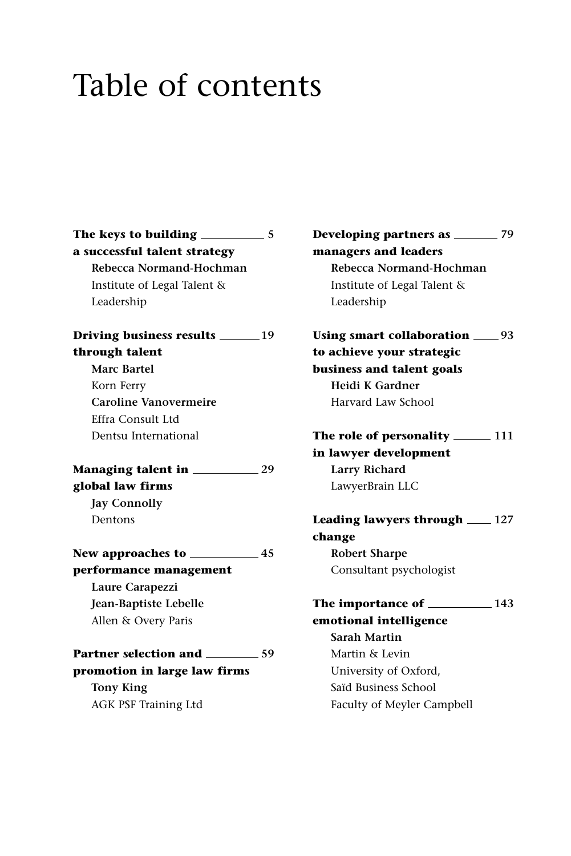# Table of contents

**The keys to building 5 a successful talent strategy Rebecca Normand-Hochman** Institute of Legal Talent & Leadership **Driving business results 19 through talent Marc Bartel** Korn Ferry **Caroline Vanovermeire** Effra Consult Ltd Dentsu International **Managing talent in 29 global law firms Jay Connolly** Dentons **New approaches to 45 performance management Laure Carapezzi Jean-Baptiste Lebelle** Allen & Overy Paris **Partner selection and 59 promotion in large law firms Tony King**

AGK PSF Training Ltd

**Developing partners as 79 managers and leaders Rebecca Normand-Hochman** Institute of Legal Talent & Leadership Using smart collaboration  $\_\_93$ 

**to achieve your strategic business and talent goals Heidi K Gardner** Harvard Law School

**The role of personality 111 in lawyer development Larry Richard** LawyerBrain LLC

**Leading lawyers through 127 change Robert Sharpe** Consultant psychologist

**The importance of 143 emotional intelligence Sarah Martin** Martin & Levin University of Oxford, Saïd Business School Faculty of Meyler Campbell